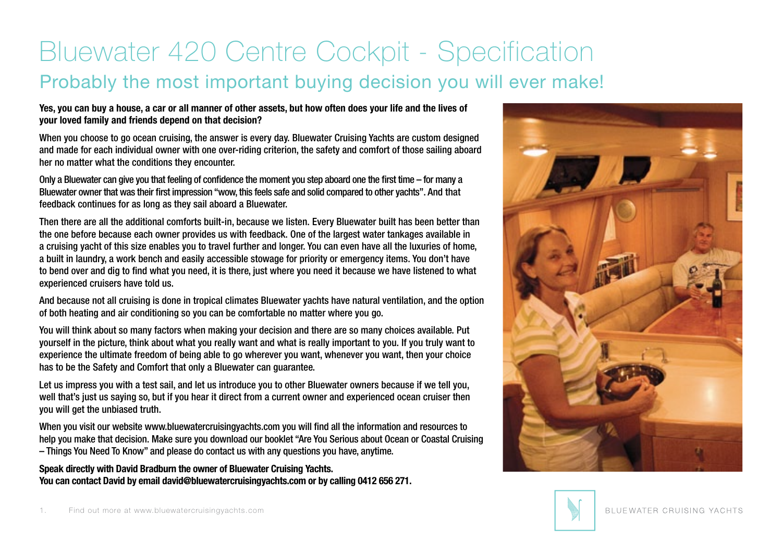## Probably the most important buying decision you will ever make! Bluewater 420 Centre Cockpit - Specification

## **Yes, you can buy a house, a car or all manner of other assets, but how often does your life and the lives of your loved family and friends depend on that decision?**

When you choose to go ocean cruising, the answer is every day. Bluewater Cruising Yachts are custom designed and made for each individual owner with one over-riding criterion, the safety and comfort of those sailing aboard her no matter what the conditions they encounter.

Only a Bluewater can give you that feeling of confidence the moment you step aboard one the first time – for many a Bluewater owner that was their first impression "wow, this feels safe and solid compared to other yachts". And that feedback continues for as long as they sail aboard a Bluewater.

Then there are all the additional comforts built-in, because we listen. Every Bluewater built has been better than the one before because each owner provides us with feedback. One of the largest water tankages available in a cruising yacht of this size enables you to travel further and longer. You can even have all the luxuries of home, a built in laundry, a work bench and easily accessible stowage for priority or emergency items. You don't have to bend over and dig to find what you need, it is there, just where you need it because we have listened to what experienced cruisers have told us.

And because not all cruising is done in tropical climates Bluewater yachts have natural ventilation, and the option of both heating and air conditioning so you can be comfortable no matter where you go.

You will think about so many factors when making your decision and there are so many choices available. Put yourself in the picture, think about what you really want and what is really important to you. If you truly want to experience the ultimate freedom of being able to go wherever you want, whenever you want, then your choice has to be the Safety and Comfort that only a Bluewater can guarantee.

Let us impress you with a test sail, and let us introduce you to other Bluewater owners because if we tell you, well that's just us saying so, but if you hear it direct from a current owner and experienced ocean cruiser then you will get the unbiased truth.

When you visit our website www.bluewatercruisingyachts.com you will find all the information and resources to help you make that decision. Make sure you download our booklet "Are You Serious about Ocean or Coastal Cruising – Things You Need To Know" and please do contact us with any questions you have, anytime.

**Speak directly with David Bradburn the owner of Bluewater Cruising Yachts. You can contact David by email david@bluewatercruisingyachts.com or by calling 0412 656 271.**



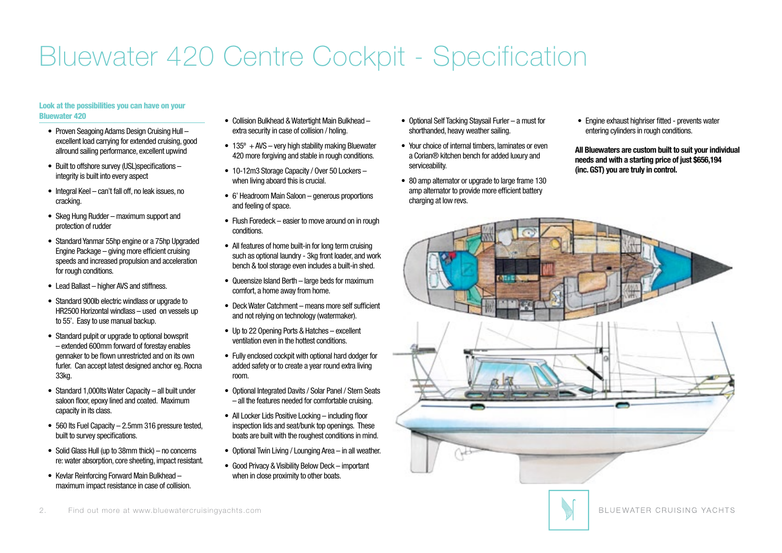#### Look at the possibilities you can have on your Bluewater 420

- Proven Seagoing Adams Design Cruising Hull excellent load carrying for extended cruising, good allround sailing performance, excellent upwind
- Built to offshore survey (USL)specifications integrity is built into every aspect
- Integral Keel can't fall off, no leak issues, no cracking.
- Skeg Hung Rudder maximum support and protection of rudder
- Standard Yanmar 55hp engine or a 75hp Upgraded Engine Package – giving more efficient cruising speeds and increased propulsion and acceleration for rough conditions.
- Lead Ballast higher AVS and stiffness.
- Standard 900lb electric windlass or upgrade to HR2500 Horizontal windlass – used on vessels up to 55'. Easy to use manual backup.
- Standard pulpit or upgrade to optional bowsprit – extended 600mm forward of forestay enables gennaker to be flown unrestricted and on its own furler. Can accept latest designed anchor eg. Rocna 33kg.
- Standard 1,000lts Water Capacity all built under saloon floor, epoxy lined and coated. Maximum capacity in its class.
- 560 lts Fuel Capacity 2.5mm 316 pressure tested, built to survey specifications.
- Solid Glass Hull (up to 38mm thick) no concerns re:water absorption, core sheeting, impact resistant.
- Kevlar Reinforcing Forward Main Bulkhead maximum impact resistance in case of collision.
- Collision Bulkhead & Watertight Main Bulkhead extra security in case of collision / holing.
- $135^\circ$  + AVS very high stability making Bluewater 420 more forgiving and stable in rough conditions.
- 10-12m3 Storage Capacity / Over 50 Lockers when living aboard this is crucial.
- 6' Headroom Main Saloon generous proportions and feeling of space.
- Flush Foredeck easier to move around on in rough conditions.
- All features of home built-in for long term cruising such as optional laundry - 3kg front loader, and work bench & tool storage even includes a built-in shed.
- Queensize Island Berth large beds for maximum comfort, a home away from home.
- Deck Water Catchment means more self sufficient and not relying on technology (watermaker).
- • Up to 22 Opening Ports & Hatches excellent ventilation even in the hottest conditions.
- • Fully enclosed cockpit with optional hard dodger for added safety or to create a year round extra living room.
- Optional Integrated Davits / Solar Panel / Stern Seats – all the features needed for comfortable cruising.
- All Locker Lids Positive Locking including floor inspection lids and seat/bunk top openings. These boats are built with the roughest conditions in mind.
- Optional Twin Living / Lounging Area in all weather.
- • Good Privacy & Visibility Below Deck important when in close proximity to other boats.
- Optional Self Tacking Staysail Furler a must for shorthanded, heavy weather sailing.
- Your choice of internal timbers, laminates or even a Corian® kitchen bench for added luxury and serviceability.
- 80 amp alternator or upgrade to large frame 130 amp alternator to provide more efficient battery charging at low revs.
- Engine exhaust highriser fitted prevents water entering cylinders in rough conditions.

All Bluewaters are custom built to suit your individual **All Bluewaters are custom built to suit your individual**  needs and with a starting price of just \$656,194 you are truly in control. **(inc. GST) you are truly in control.**



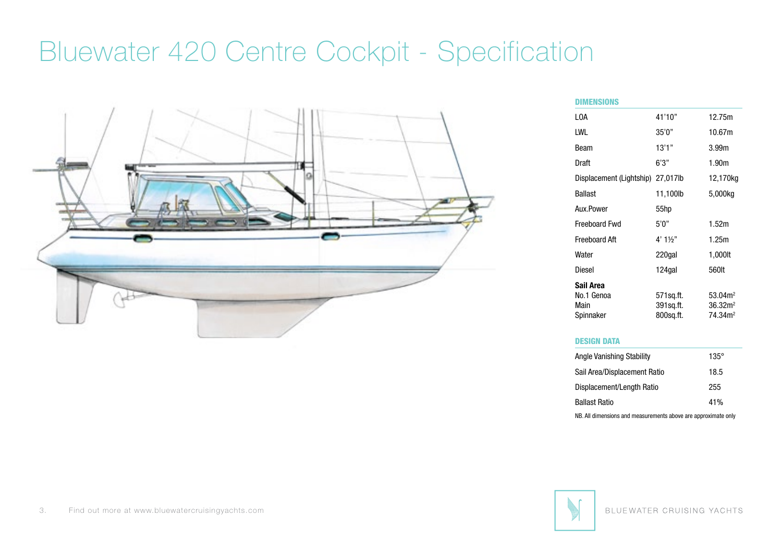

| DIMENSIONS               |           |                     |
|--------------------------|-----------|---------------------|
| I OA                     | 41'10"    | 12.75m              |
| LWL                      | 35'0''    | 10.67m              |
| Beam                     | 13'1"     | 3.99 <sub>m</sub>   |
| Draft                    | 6'3''     | 1.90m               |
| Displacement (Lightship) | 27,017lb  | 12,170kg            |
| Ballast                  | 11,100lb  | 5,000kg             |
| Aux.Power                | 55hp      |                     |
| <b>Freeboard Fwd</b>     | 5'0''     | 1.52m               |
| Freeboard Aft            | 4' 1½"    | 1.25m               |
| Water                    | 220gal    | 1,000lt             |
| Diesel                   | 124gal    | 560lt               |
| Sail Area                |           |                     |
| No.1 Genoa               | 571sq.ft. | 53.04 <sup>2</sup>  |
| Main                     | 391sq.ft. | 36.32 <sup>2</sup>  |
| Spinnaker                | 800sq.ft. | 74.34m <sup>2</sup> |

#### DESIGN DATA

| Angle Vanishing Stability                                      | $135^\circ$ |
|----------------------------------------------------------------|-------------|
| Sail Area/Displacement Ratio                                   | 18.5        |
| Displacement/Length Ratio                                      | 255         |
| <b>Ballast Ratio</b>                                           | 41%         |
| NB. All dimensions and measurements above are approximate only |             |

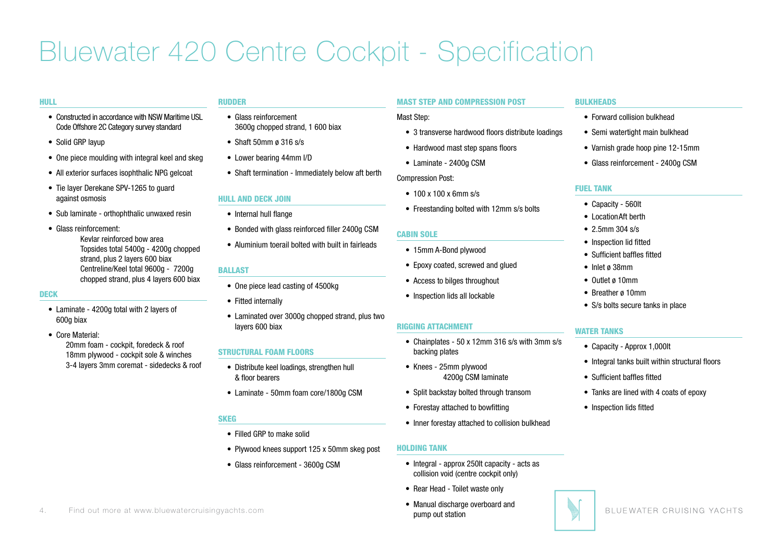#### HULL

- Constructed in accordance with NSW Maritime USL Code Offshore 2C Category survey standard
- Solid GRP layup
- One piece moulding with integral keel and skeg
- All exterior surfaces isophthalic NPG gelcoat
- Tie layer Derekane SPV-1265 to quard against osmosis
- Sub laminate orthophthalic unwaxed resin
- • Glass reinforcement: Kevlar reinforced bow area Topsides total 5400g - 4200g chopped strand, plus 2 layers 600 biax Centreline/Keel total 9600g - 7200g chopped strand, plus 4 layers 600 biax

#### DECK

- Laminate 4200g total with 2 layers of 600g biax
- Core Material:

 20mm foam - cockpit, foredeck & roof 18mm plywood - cockpit sole & winches 3-4 layers 3mm coremat - sidedecks & roof

## RUDDER

- • Glass reinforcement 3600g chopped strand, 1 600 biax
- Shaft 50mm ø 316 s/s
- Lower bearing 44mm I/D
- Shaft termination Immediately below aft berth

## HULL AND DECK JOIN

- Internal hull flange
- Bonded with glass reinforced filler 2400g CSM
- • Aluminium toerail bolted with built in fairleads

## BALLAST

- One piece lead casting of 4500kg
- Fitted internally
- Laminated over 3000g chopped strand, plus two layers 600 biax

### STRUCTURAL FOAM FLOORS

- • Distribute keel loadings, strengthen hull & floor bearers
- Laminate 50mm foam core/1800g CSM

### **SKEG**

- • Filled GRP to make solid
- Plywood knees support 125 x 50mm skeg post
- Glass reinforcement 3600g CSM

#### MAST STEP AND COMPRESSION POST

#### Mast Step:

- 3 transverse hardwood floors distribute loadings
- Hardwood mast step spans floors
- Laminate 2400g CSM

#### Compression Post:

- $100 \times 100 \times 6$ mm s/s
- Freestanding bolted with 12mm s/s bolts

## CABIN SOLE

- 15mm A-Bond plywood
- Epoxy coated, screwed and glued
- Access to bilges throughout
- Inspection lids all lockable

### RIGGING ATTACHMENT

- Chainplates 50 x 12mm 316 s/s with 3mm s/s backing plates
- • Knees 25mm plywood 4200g CSM laminate
- Split backstay bolted through transom
- Forestay attached to bowfitting
- Inner forestay attached to collision bulkhead

### HOLDING TANK

- Integral approx 250lt capacity acts as collision void (centre cockpit only)
- Rear Head Toilet waste only
- Manual discharge overboard and pump out station

#### **BULKHEADS**

- • Forward collision bulkhead
- Semi watertight main bulkhead
- Varnish grade hoop pine 12-15mm
- Glass reinforcement 2400g CSM

#### FUEL TANK

- • Capacity 560lt
- Location Aft berth
- 2.5mm 304 s/s
- Inspection lid fitted
- • Sufficient baffles fitted
- • Inlet ø 38mm
- • Outlet ø 10mm
- Breather ø 10mm
- S/s bolts secure tanks in place

## WATER TANKS

- Capacity Approx 1,000lt
- Integral tanks built within structural floors
- • Sufficient baffles fitted
- Tanks are lined with 4 coats of epoxy
- Inspection lids fitted

4. Find out more at www.bluewatercruisingyachts.com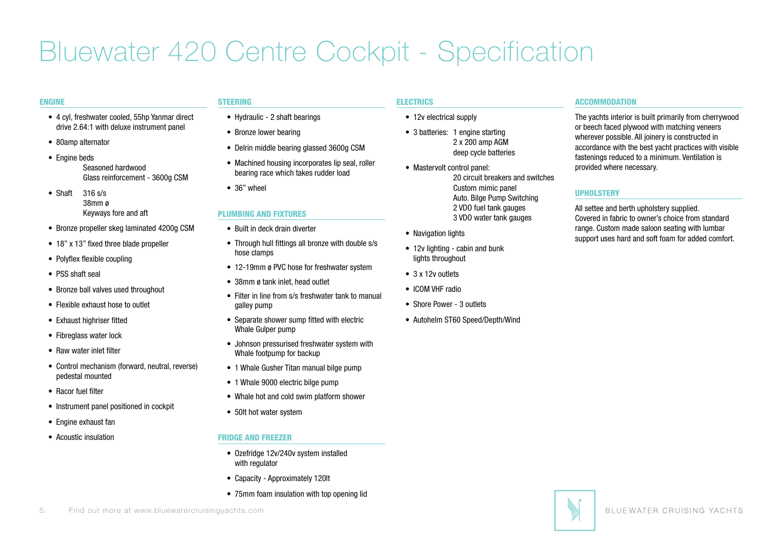#### ENGINE

- • 4 cyl, freshwater cooled, 55hp Yanmar direct drive 2.64:1 with deluxe instrument panel
- 80amp alternator
- Engine beds Seasoned hardwood Glass reinforcement - 3600g CSM
- Shaft  $316 \text{ s/s}$  38mm ø Keyways fore and aft
- Bronze propeller skeg laminated 4200g CSM
- 18" x 13" fixed three blade propeller
- Polyflex flexible coupling
- PSS shaft seal
- Bronze ball valves used throughout
- • Flexible exhaust hose to outlet
- Exhaust highriser fitted
- Fibreglass water lock
- Raw water inlet filter
- Control mechanism (forward, neutral, reverse) pedestal mounted
- • Racor fuel filter
- Instrument panel positioned in cockpit
- • Engine exhaust fan
- • Acoustic insulation

## STEERING

- Hydraulic 2 shaft bearings
- Bronze lower bearing
- Delrin middle bearing glassed 3600g CSM
- Machined housing incorporates lip seal, roller bearing race which takes rudder load
- 36" wheel

## PLUMBING AND FIXTURES

- Built in deck drain diverter
- Through hull fittings all bronze with double s/s hose clamps
- 12-19mm ø PVC hose for freshwater system
- 38mm ø tank inlet, head outlet
- Filter in line from s/s freshwater tank to manual galley pump
- Separate shower sump fitted with electric Whale Gulper pump
- Johnson pressurised freshwater system with Whale footpump for backup
- 1 Whale Gusher Titan manual bilge pump
- 1 Whale 9000 electric bilge pump
- Whale hot and cold swim platform shower
- 50lt hot water system

## FRIDGE AND FREEZER

- Ozefridge 12v/240v system installed with regulator
- Capacity Approximately 120lt
- 75mm foam insulation with top opening lid

## ELECTRICS

- 12v electrical supply
- 3 batteries: 1 engine starting 2 x 200 amp AGM deep cycle batteries
- Mastervolt control panel: 20 circuit breakers and switches Custom mimic panel Auto. Bilge Pump Switching 2 VDO fuel tank gauges 3 VDO water tank gauges
- Navigation lights
- 12v lighting cabin and bunk lights throughout
- 3 x 12v outlets
- ICOM VHF radio
- • Shore Power 3 outlets
- Autohelm ST60 Speed/Depth/Wind

### **ACCOMMODATION**

The yachts interior is built primarily from cherrywood or beech faced plywood with matching veneers wherever possible. All joinery is constructed in accordance with the best yacht practices with visible fastenings reduced to a minimum. Ventilation is provided where necessary.

## UPHOLSTERY

All settee and berth upholstery supplied. Covered in fabric to owner's choice from standard range. Custom made saloon seating with lumbar support uses hard and soft foam for added comfort.

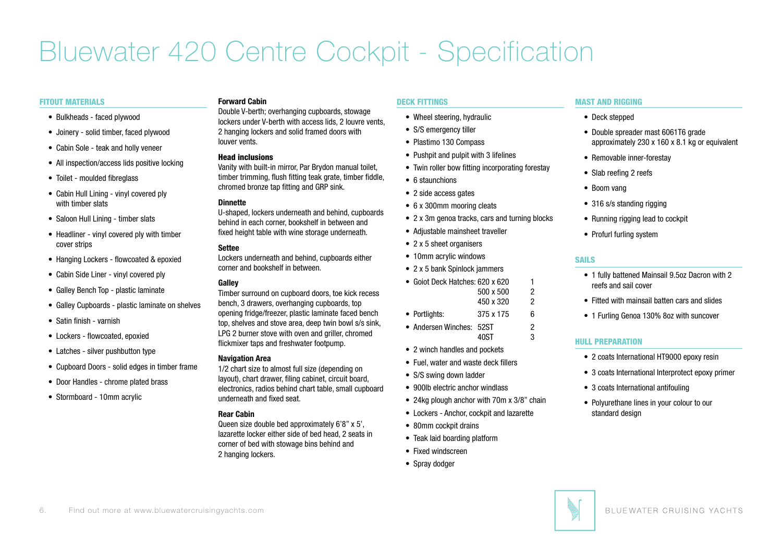#### FITOUT MATERIALS

- • Bulkheads faced plywood
- • Joinery solid timber, faced plywood
- Cabin Sole teak and holly veneer
- All inspection/access lids positive locking
- Toilet moulded fibreglass
- Cabin Hull Lining vinyl covered ply with timber slats
- Saloon Hull Lining timber slats
- Headliner vinyl covered ply with timber cover strips
- Hanging Lockers flowcoated & epoxied
- Cabin Side Liner vinyl covered ply
- Galley Bench Top plastic laminate
- Galley Cupboards plastic laminate on shelves
- • Satin finish varnish
- Lockers flowcoated, epoxied
- Latches silver pushbutton type
- Cupboard Doors solid edges in timber frame
- Door Handles chrome plated brass
- Stormboard 10mm acrylic

### **Forward Cabin**

Double V-berth; overhanging cupboards, stowage lockers under V-berth with access lids, 2 louvre vents, 2 hanging lockers and solid framed doors with louver vents.

#### Head inclusions

Vanity with built-in mirror, Par Brydon manual toilet, timber trimming, flush fitting teak grate, timber fiddle, chromed bronze tap fitting and GRP sink.

### **Dinnette**

U-shaped, lockers underneath and behind, cupboards behind in each corner, bookshelf in between and fixed height table with wine storage underneath.

### **Settee**

Lockers underneath and behind, cupboards either corner and bookshelf in between.

### **Galley**

Timber surround on cupboard doors, toe kick recess bench, 3 drawers, overhanging cupboards, top opening fridge/freezer, plastic laminate faced bench top, shelves and stove area, deep twin bowl s/s sink, LPG 2 burner stove with oven and griller, chromed flickmixer taps and freshwater footpump.

#### **Navigation Area**

1/2 chart size to almost full size (depending on layout), chart drawer, filing cabinet, circuit board, electronics, radios behind chart table, small cupboard underneath and fixed seat.

## **Rear Cabin**

Queen size double bed approximately 6'8" x 5', lazarette locker either side of bed head, 2 seats in corner of bed with stowage bins behind and 2 hanging lockers.

### DECK FITTINGS

- Wheel steering, hydraulic
- S/S emergency tiller
- • Plastimo 130 Compass
- Pushpit and pulpit with 3 lifelines
- Twin roller bow fitting incorporating forestay
- • 6 staunchions
- 2 side access gates
- 6 x 300mm mooring cleats
- 2 x 3m genoa tracks, cars and turning blocks
- Adjustable mainsheet traveller
- 2 x 5 sheet organisers
- 10mm acrylic windows
- 2 x 5 bank Spinlock jammers
- Goiot Deck Hatches: 620 x 620 1  $500 \times 500$  2 450 x 320 2
- Portlights:  $375 \times 175$  6
- 
- Andersen Winches: 52ST 2  $40ST$  3
- 2 winch handles and pockets
- Fuel, water and waste deck fillers
- S/S swing down ladder
- 900lb electric anchor windlass
- 24kg plough anchor with 70m x 3/8" chain
- Lockers Anchor, cockpit and lazarette
- 
- Teak laid boarding platform
- Fixed windscreen
- Spray dodger

## MAST AND RIGGING

- Deck stepped
- Double spreader mast 6061T6 grade approximately 230 x 160 x 8.1 kg or equivalent
- Removable inner-forestav
- Slab reefing 2 reefs
- Boom vang
- 316 s/s standing rigging
- Running rigging lead to cockpit
- Profurl furling system

## SAILS

- 1 fully battened Mainsail 9.5oz Dacron with 2 reefs and sail cover
- Fitted with mainsail batten cars and slides
- 1 Furling Genoa 130% 8oz with suncover

## HULL PREPARATION

- 2 coats International HT9000 epoxy resin
- 3 coats International Interprotect epoxy primer
- 3 coats International antifouling
- Polyurethane lines in your colour to our standard design



• 80mm cockpit drains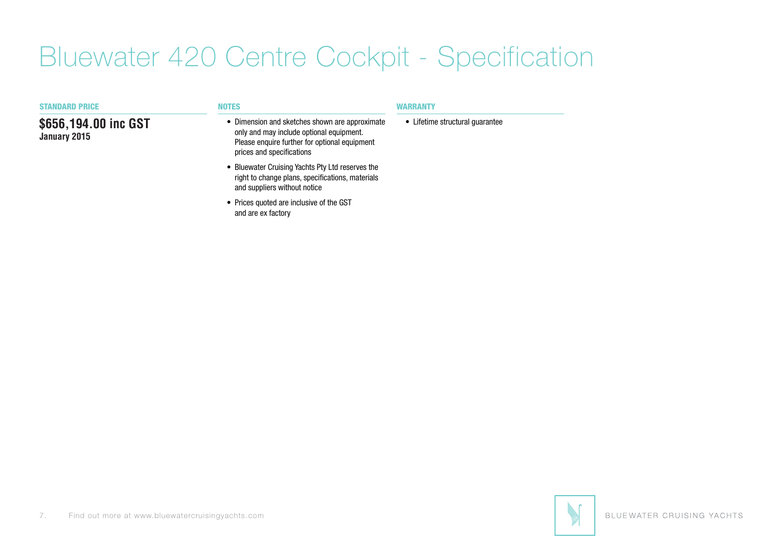| <b>STANDARD PRICE</b>                | <b>NOTES</b>                                                                                                                                                             | WARRANTY                        |
|--------------------------------------|--------------------------------------------------------------------------------------------------------------------------------------------------------------------------|---------------------------------|
| \$656,194.00 inc GST<br>January 2015 | • Dimension and sketches shown are approximate<br>only and may include optional equipment.<br>Please enquire further for optional equipment<br>prices and specifications | • Lifetime structural quarantee |
|                                      | • Bluewater Cruising Yachts Pty Ltd reserves the<br>right to change plans, specifications, materials<br>and suppliers without notice                                     |                                 |
|                                      |                                                                                                                                                                          |                                 |

• Prices quoted are inclusive of the GST and are ex factory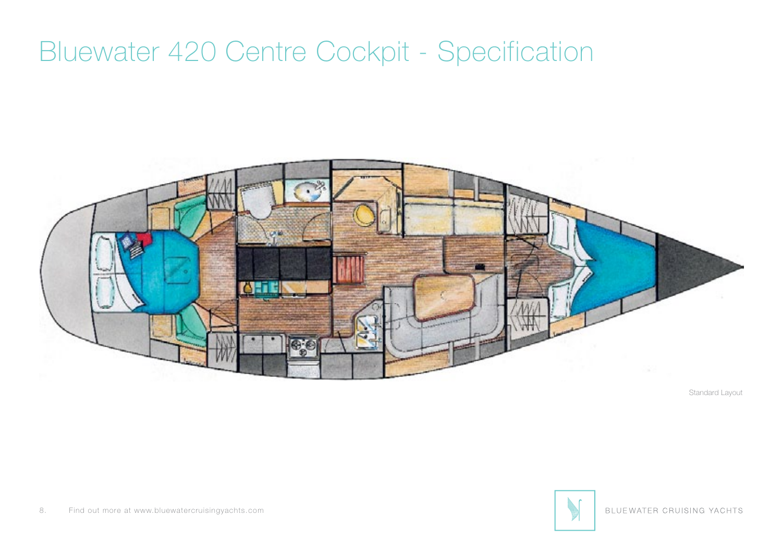

Standard Layout